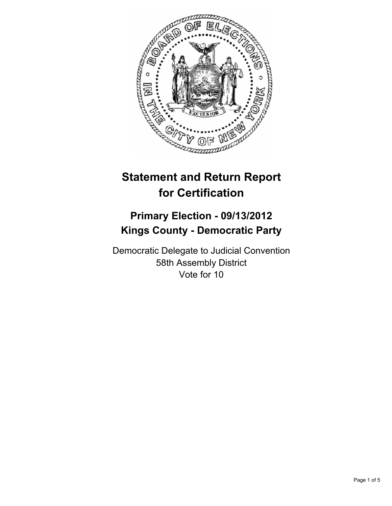

# **Statement and Return Report for Certification**

## **Primary Election - 09/13/2012 Kings County - Democratic Party**

Democratic Delegate to Judicial Convention 58th Assembly District Vote for 10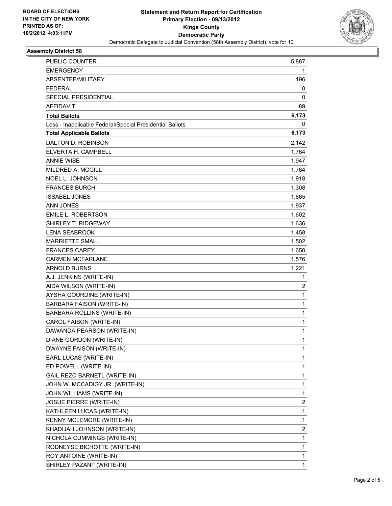

### **Assembly District 58**

| <b>PUBLIC COUNTER</b>                                    | 5,887          |
|----------------------------------------------------------|----------------|
| <b>EMERGENCY</b>                                         | 1              |
| ABSENTEE/MILITARY                                        | 196            |
| <b>FEDERAL</b>                                           | 0              |
| <b>SPECIAL PRESIDENTIAL</b>                              | 0              |
| <b>AFFIDAVIT</b>                                         | 89             |
| <b>Total Ballots</b>                                     | 6,173          |
| Less - Inapplicable Federal/Special Presidential Ballots | 0              |
| <b>Total Applicable Ballots</b>                          | 6,173          |
| DALTON D. ROBINSON                                       | 2,142          |
| ELVERTA H. CAMPBELL                                      | 1,764          |
| <b>ANNIE WISE</b>                                        | 1,947          |
| MILDRED A. MCGILL                                        | 1,764          |
| <b>NOEL L. JOHNSON</b>                                   | 1,918          |
| <b>FRANCES BURCH</b>                                     | 1,308          |
| <b>ISSABEL JONES</b>                                     | 1,865          |
| <b>ANN JONES</b>                                         | 1,937          |
| EMILE L. ROBERTSON                                       | 1,602          |
| SHIRLEY T. RIDGEWAY                                      | 1,636          |
| <b>LENA SEABROOK</b>                                     | 1,458          |
| <b>MARRIETTE SMALL</b>                                   | 1,502          |
| <b>FRANCES CAREY</b>                                     | 1,650          |
| <b>CARMEN MCFARLANE</b>                                  | 1,576          |
| <b>ARNOLD BURNS</b>                                      | 1,221          |
| A.J. JENKINS (WRITE-IN)                                  | 1              |
| AIDA WILSON (WRITE-IN)                                   | $\overline{2}$ |
| AYSHA GOURDINE (WRITE-IN)                                | 1              |
| <b>BARBARA FAISON (WRITE-IN)</b>                         | 1              |
| BARBARA ROLLINS (WRITE-IN)                               | 1              |
| CAROL FAISON (WRITE-IN)                                  | 1              |
| DAWANDA PEARSON (WRITE-IN)                               | 1              |
| DIANE GORDON (WRITE-IN)                                  | 1              |
| DWAYNE FAISON (WRITE-IN)                                 | 1              |
| EARL LUCAS (WRITE-IN)                                    | 1              |
| ED POWELL (WRITE-IN)                                     | 1              |
| GAIL REZO BARNETL (WRITE-IN)                             | 1              |
| JOHN W. MCCADIGY JR. (WRITE-IN)                          | 1              |
| JOHN WILLIAMS (WRITE-IN)                                 | 1              |
| <b>JOSUE PIERRE (WRITE-IN)</b>                           | 2              |
| KATHLEEN LUCAS (WRITE-IN)                                | 1              |
| KENNY MCLEMORE (WRITE-IN)                                | 1              |
| KHADIJAH JOHNSON (WRITE-IN)                              | 2              |
| NICHOLA CUMMINGS (WRITE-IN)                              | 1              |
| RODNEYSE BICHOTTE (WRITE-IN)                             | 1              |
| ROY ANTOINE (WRITE-IN)                                   | 1              |
| SHIRLEY PAZANT (WRITE-IN)                                | 1              |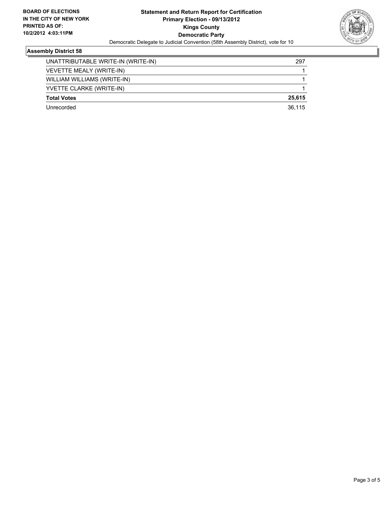

### **Assembly District 58**

| UNATTRIBUTABLE WRITE-IN (WRITE-IN) | 297    |
|------------------------------------|--------|
| VEVETTE MEALY (WRITE-IN)           |        |
| WILLIAM WILLIAMS (WRITE-IN)        |        |
| YVETTE CLARKE (WRITE-IN)           |        |
| <b>Total Votes</b>                 | 25.615 |
| Unrecorded                         | 36.115 |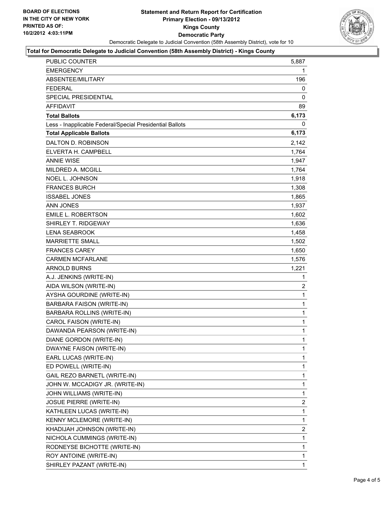

#### **Total for Democratic Delegate to Judicial Convention (58th Assembly District) - Kings County**

| PUBLIC COUNTER                                           | 5,887          |
|----------------------------------------------------------|----------------|
| <b>EMERGENCY</b>                                         | 1              |
| ABSENTEE/MILITARY                                        | 196            |
| <b>FEDERAL</b>                                           | 0              |
| SPECIAL PRESIDENTIAL                                     | 0              |
| <b>AFFIDAVIT</b>                                         | 89             |
| <b>Total Ballots</b>                                     | 6,173          |
| Less - Inapplicable Federal/Special Presidential Ballots | 0              |
| <b>Total Applicable Ballots</b>                          | 6,173          |
| DALTON D. ROBINSON                                       | 2,142          |
| ELVERTA H. CAMPBELL                                      | 1,764          |
| <b>ANNIE WISE</b>                                        | 1,947          |
| <b>MILDRED A. MCGILL</b>                                 | 1,764          |
| <b>NOEL L. JOHNSON</b>                                   | 1,918          |
| <b>FRANCES BURCH</b>                                     | 1,308          |
| <b>ISSABEL JONES</b>                                     | 1,865          |
| <b>ANN JONES</b>                                         | 1,937          |
| EMILE L. ROBERTSON                                       | 1,602          |
| SHIRLEY T. RIDGEWAY                                      | 1,636          |
| LENA SEABROOK                                            | 1,458          |
| <b>MARRIETTE SMALL</b>                                   | 1,502          |
| <b>FRANCES CAREY</b>                                     | 1,650          |
| <b>CARMEN MCFARLANE</b>                                  | 1,576          |
| <b>ARNOLD BURNS</b>                                      | 1,221          |
| A.J. JENKINS (WRITE-IN)                                  | 1              |
| AIDA WILSON (WRITE-IN)                                   | $\overline{c}$ |
| AYSHA GOURDINE (WRITE-IN)                                | $\mathbf 1$    |
| <b>BARBARA FAISON (WRITE-IN)</b>                         | 1              |
| BARBARA ROLLINS (WRITE-IN)                               | $\mathbf 1$    |
| CAROL FAISON (WRITE-IN)                                  | $\mathbf 1$    |
| DAWANDA PEARSON (WRITE-IN)                               | 1              |
| <b>DIANE GORDON (WRITE-IN)</b>                           | $\mathbf{1}$   |
| DWAYNE FAISON (WRITE-IN)                                 | 1              |
| EARL LUCAS (WRITE-IN)                                    | 1              |
| ED POWELL (WRITE-IN)                                     | 1              |
| GAIL REZO BARNETL (WRITE-IN)                             | $\mathbf 1$    |
| JOHN W. MCCADIGY JR. (WRITE-IN)                          | 1              |
| JOHN WILLIAMS (WRITE-IN)                                 | 1              |
| <b>JOSUE PIERRE (WRITE-IN)</b>                           | 2              |
| KATHLEEN LUCAS (WRITE-IN)                                | 1              |
| KENNY MCLEMORE (WRITE-IN)                                | 1              |
| KHADIJAH JOHNSON (WRITE-IN)                              | 2              |
| NICHOLA CUMMINGS (WRITE-IN)                              | 1              |
| RODNEYSE BICHOTTE (WRITE-IN)                             | 1              |
| ROY ANTOINE (WRITE-IN)                                   | 1              |
| SHIRLEY PAZANT (WRITE-IN)                                | $\mathbf{1}$   |